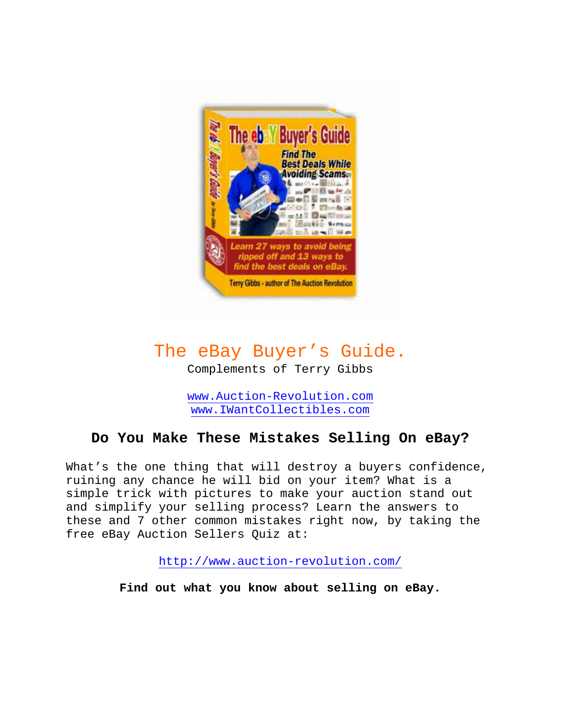

# The eBay Buyer's Guide.

Complements of Terry Gibbs

[www.Auction-Revolution.com](http://www.auction-revolution.com/) [www.IWantCollectibles.com](http://www.iwantcollectibles.com/)

# **Do You Make These Mistakes Selling On eBay?**

What's the one thing that will destroy a buyers confidence, ruining any chance he will bid on your item? What is a simple trick with pictures to make your auction stand out and simplify your selling process? Learn the answers to these and 7 other common mistakes right now, by taking the free eBay Auction Sellers Quiz at:

<http://www.auction-revolution.com/>

**Find out what you know about selling on eBay.**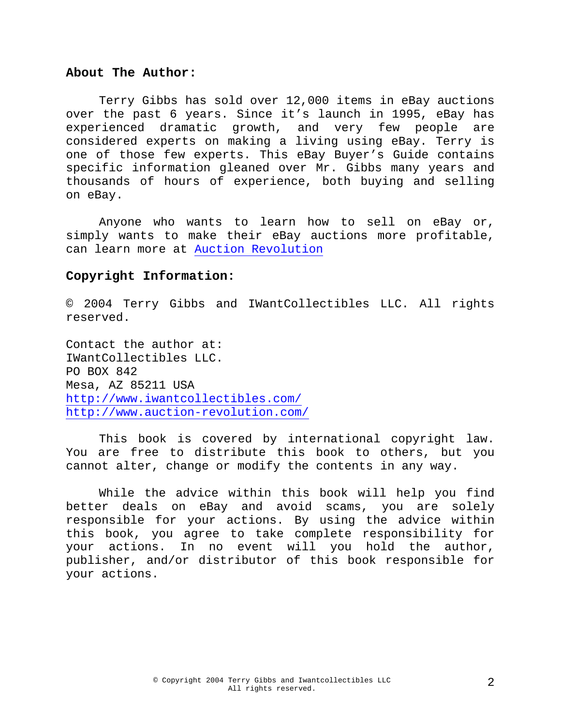#### **About The Author:**

Terry Gibbs has sold over 12,000 items in eBay auctions over the past 6 years. Since it's launch in 1995, eBay has experienced dramatic growth, and very few people are considered experts on making a living using eBay. Terry is one of those few experts. This eBay Buyer's Guide contains specific information gleaned over Mr. Gibbs many years and thousands of hours of experience, both buying and selling on eBay.

Anyone who wants to learn how to sell on eBay or, simply wants to make their eBay auctions more profitable, can learn more at [Auction Revolution](http://www.auction-revolution.com/)

#### **Copyright Information:**

© 2004 Terry Gibbs and IWantCollectibles LLC. All rights reserved.

Contact the author at: IWantCollectibles LLC. PO BOX 842 Mesa, AZ 85211 USA <http://www.iwantcollectibles.com/> <http://www.auction-revolution.com/>

This book is covered by international copyright law. You are free to distribute this book to others, but you cannot alter, change or modify the contents in any way.

While the advice within this book will help you find better deals on eBay and avoid scams, you are solely responsible for your actions. By using the advice within this book, you agree to take complete responsibility for your actions. In no event will you hold the author, publisher, and/or distributor of this book responsible for your actions.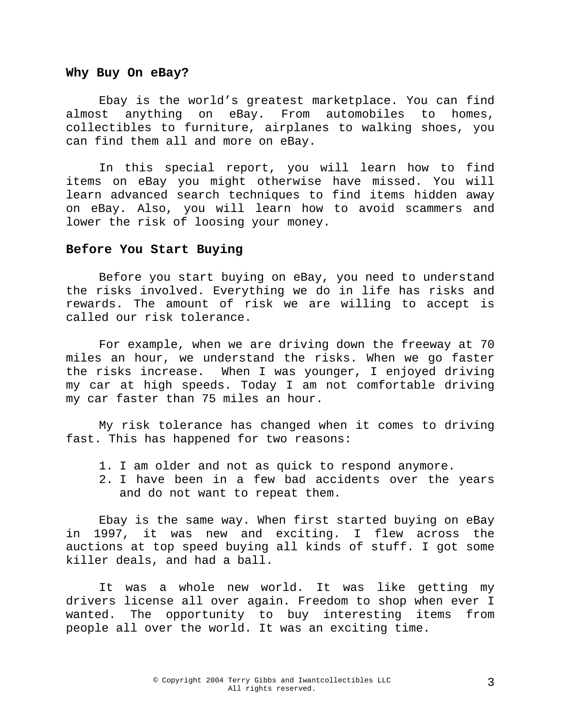#### **Why Buy On eBay?**

Ebay is the world's greatest marketplace. You can find almost anything on eBay. From automobiles to homes, collectibles to furniture, airplanes to walking shoes, you can find them all and more on eBay.

In this special report, you will learn how to find items on eBay you might otherwise have missed. You will learn advanced search techniques to find items hidden away on eBay. Also, you will learn how to avoid scammers and lower the risk of loosing your money.

#### **Before You Start Buying**

Before you start buying on eBay, you need to understand the risks involved. Everything we do in life has risks and rewards. The amount of risk we are willing to accept is called our risk tolerance.

For example, when we are driving down the freeway at 70 miles an hour, we understand the risks. When we go faster the risks increase. When I was younger, I enjoyed driving my car at high speeds. Today I am not comfortable driving my car faster than 75 miles an hour.

My risk tolerance has changed when it comes to driving fast. This has happened for two reasons:

- 1. I am older and not as quick to respond anymore.
- 2. I have been in a few bad accidents over the years and do not want to repeat them.

Ebay is the same way. When first started buying on eBay in 1997, it was new and exciting. I flew across the auctions at top speed buying all kinds of stuff. I got some killer deals, and had a ball.

It was a whole new world. It was like getting my drivers license all over again. Freedom to shop when ever I wanted. The opportunity to buy interesting items from people all over the world. It was an exciting time.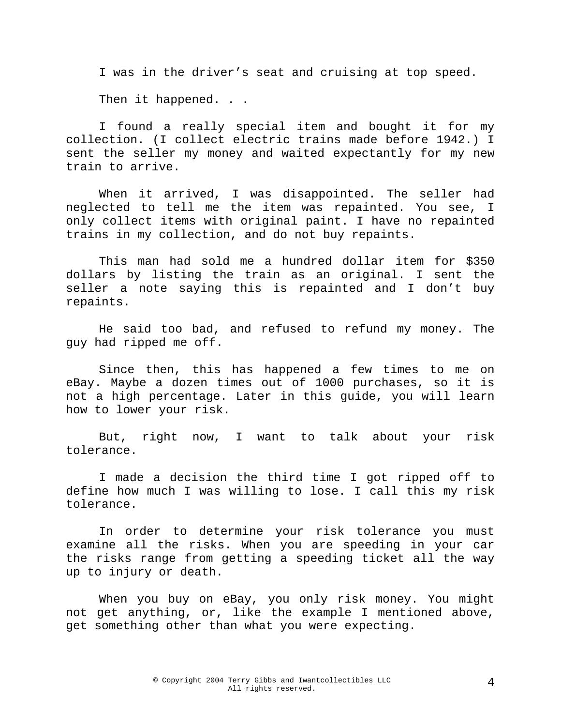I was in the driver's seat and cruising at top speed.

Then it happened. . .

I found a really special item and bought it for my collection. (I collect electric trains made before 1942.) I sent the seller my money and waited expectantly for my new train to arrive.

When it arrived, I was disappointed. The seller had neglected to tell me the item was repainted. You see, I only collect items with original paint. I have no repainted trains in my collection, and do not buy repaints.

This man had sold me a hundred dollar item for \$350 dollars by listing the train as an original. I sent the seller a note saying this is repainted and I don't buy repaints.

He said too bad, and refused to refund my money. The guy had ripped me off.

Since then, this has happened a few times to me on eBay. Maybe a dozen times out of 1000 purchases, so it is not a high percentage. Later in this guide, you will learn how to lower your risk.

But, right now, I want to talk about your risk tolerance.

I made a decision the third time I got ripped off to define how much I was willing to lose. I call this my risk tolerance.

In order to determine your risk tolerance you must examine all the risks. When you are speeding in your car the risks range from getting a speeding ticket all the way up to injury or death.

When you buy on eBay, you only risk money. You might not get anything, or, like the example I mentioned above, get something other than what you were expecting.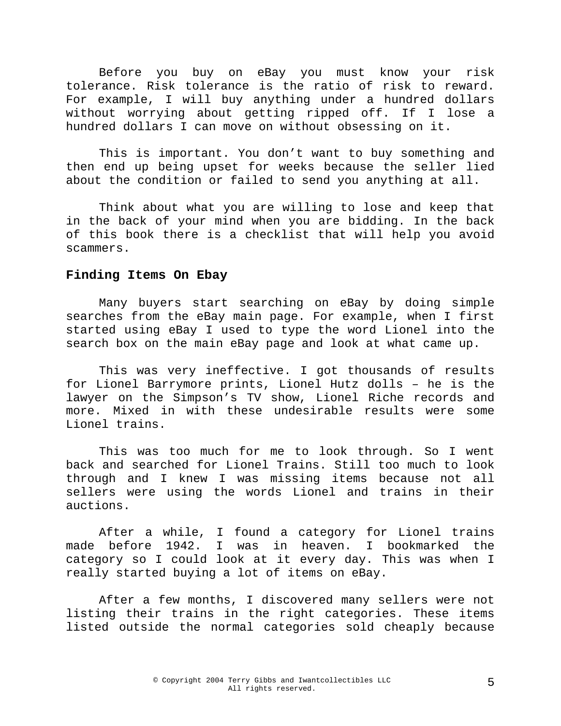Before you buy on eBay you must know your risk tolerance. Risk tolerance is the ratio of risk to reward. For example, I will buy anything under a hundred dollars without worrying about getting ripped off. If I lose a hundred dollars I can move on without obsessing on it.

This is important. You don't want to buy something and then end up being upset for weeks because the seller lied about the condition or failed to send you anything at all.

Think about what you are willing to lose and keep that in the back of your mind when you are bidding. In the back of this book there is a checklist that will help you avoid scammers.

#### **Finding Items On Ebay**

 Many buyers start searching on eBay by doing simple searches from the eBay main page. For example, when I first started using eBay I used to type the word Lionel into the search box on the main eBay page and look at what came up.

 This was very ineffective. I got thousands of results for Lionel Barrymore prints, Lionel Hutz dolls – he is the lawyer on the Simpson's TV show, Lionel Riche records and more. Mixed in with these undesirable results were some Lionel trains.

 This was too much for me to look through. So I went back and searched for Lionel Trains. Still too much to look through and I knew I was missing items because not all sellers were using the words Lionel and trains in their auctions.

 After a while, I found a category for Lionel trains made before 1942. I was in heaven. I bookmarked the category so I could look at it every day. This was when I really started buying a lot of items on eBay.

After a few months, I discovered many sellers were not listing their trains in the right categories. These items listed outside the normal categories sold cheaply because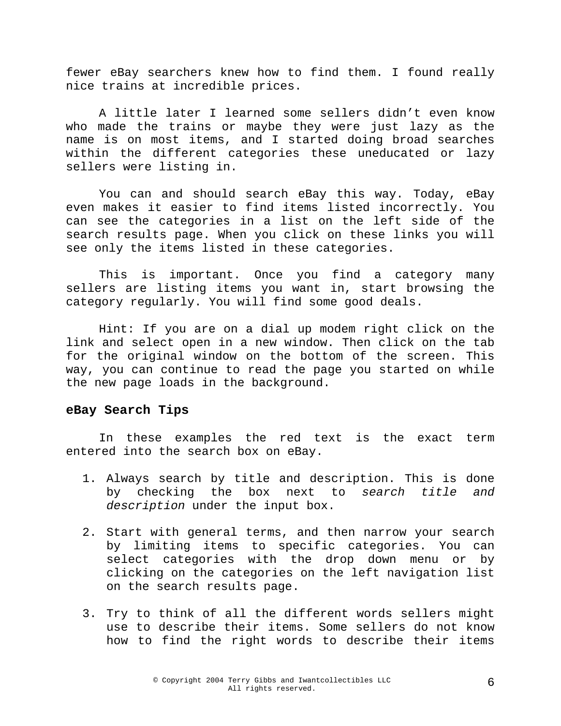fewer eBay searchers knew how to find them. I found really nice trains at incredible prices.

 A little later I learned some sellers didn't even know who made the trains or maybe they were just lazy as the name is on most items, and I started doing broad searches within the different categories these uneducated or lazy sellers were listing in.

 You can and should search eBay this way. Today, eBay even makes it easier to find items listed incorrectly. You can see the categories in a list on the left side of the search results page. When you click on these links you will see only the items listed in these categories.

 This is important. Once you find a category many sellers are listing items you want in, start browsing the category regularly. You will find some good deals.

Hint: If you are on a dial up modem right click on the link and select open in a new window. Then click on the tab for the original window on the bottom of the screen. This way, you can continue to read the page you started on while the new page loads in the background.

#### **eBay Search Tips**

In these examples the red text is the exact term entered into the search box on eBay.

- 1. Always search by title and description. This is done by checking the box next to *search title and description* under the input box.
- 2. Start with general terms, and then narrow your search by limiting items to specific categories. You can select categories with the drop down menu or by clicking on the categories on the left navigation list on the search results page.
- 3. Try to think of all the different words sellers might use to describe their items. Some sellers do not know how to find the right words to describe their items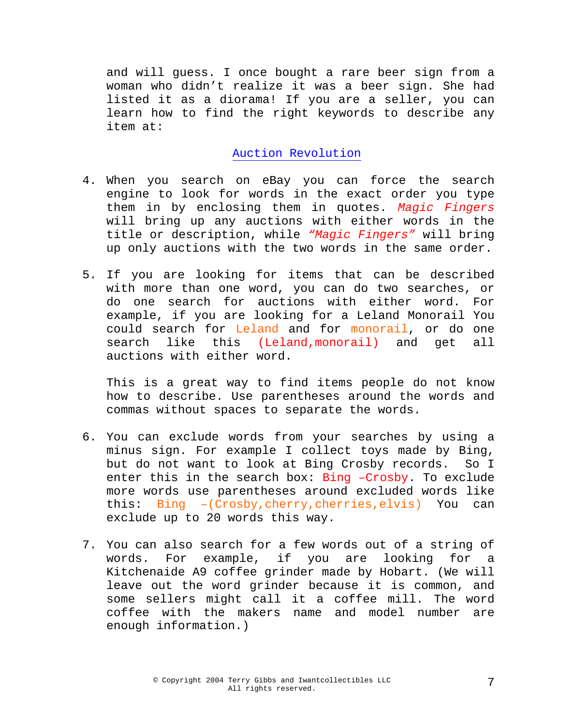and will guess. I once bought a rare beer sign from a woman who didn't realize it was a beer sign. She had listed it as a diorama! If you are a seller, you can learn how to find the right keywords to describe any item at:

# [Auction Revolution](http://www.auction-revolution.com/)

- 4. When you search on eBay you can force the search engine to look for words in the exact order you type them in by enclosing them in quotes. *Magic Fingers* will bring up any auctions with either words in the title or description, while *"Magic Fingers"* will bring up only auctions with the two words in the same order.
- 5. If you are looking for items that can be described with more than one word, you can do two searches, or do one search for auctions with either word. For example, if you are looking for a Leland Monorail You could search for Leland and for monorail, or do one search like this (Leland,monorail) and get all auctions with either word.

This is a great way to find items people do not know how to describe. Use parentheses around the words and commas without spaces to separate the words.

- 6. You can exclude words from your searches by using a minus sign. For example I collect toys made by Bing, but do not want to look at Bing Crosby records. So I enter this in the search box: Bing -Crosby. To exclude more words use parentheses around excluded words like this: Bing –(Crosby,cherry,cherries,elvis) You can exclude up to 20 words this way.
- 7. You can also search for a few words out of a string of words. For example, if you are looking for a Kitchenaide A9 coffee grinder made by Hobart. (We will leave out the word grinder because it is common, and some sellers might call it a coffee mill. The word coffee with the makers name and model number are enough information.)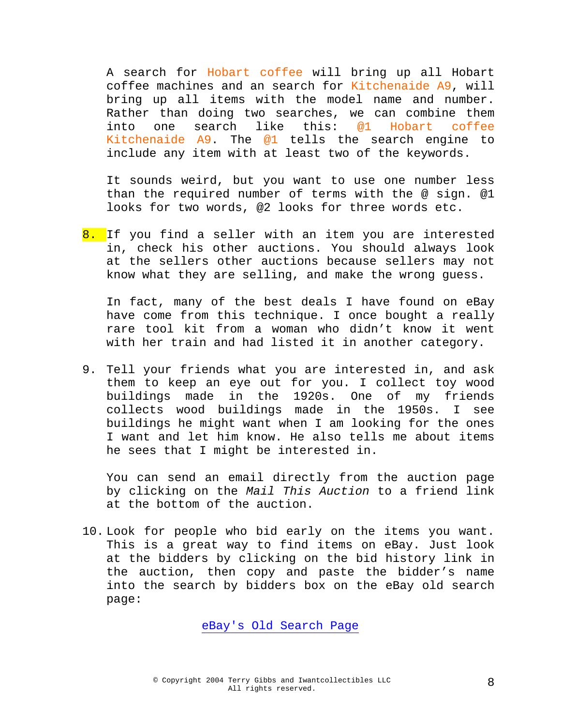A search for Hobart coffee will bring up all Hobart coffee machines and an search for Kitchenaide A9, will bring up all items with the model name and number. Rather than doing two searches, we can combine them into one search like this: @1 Hobart coffee Kitchenaide A9. The @1 tells the search engine to include any item with at least two of the keywords.

It sounds weird, but you want to use one number less than the required number of terms with the @ sign. @1 looks for two words, @2 looks for three words etc.

8. If you find a seller with an item you are interested in, check his other auctions. You should always look at the sellers other auctions because sellers may not know what they are selling, and make the wrong guess.

In fact, many of the best deals I have found on eBay have come from this technique. I once bought a really rare tool kit from a woman who didn't know it went with her train and had listed it in another category.

9. Tell your friends what you are interested in, and ask them to keep an eye out for you. I collect toy wood buildings made in the 1920s. One of my friends collects wood buildings made in the 1950s. I see buildings he might want when I am looking for the ones I want and let him know. He also tells me about items he sees that I might be interested in.

You can send an email directly from the auction page by clicking on the *Mail This Auction* to a friend link at the bottom of the auction.

10. Look for people who bid early on the items you want. This is a great way to find items on eBay. Just look at the bidders by clicking on the bid history link in the auction, then copy and paste the bidder's name into the search by bidders box on the eBay old search page:

[eBay's Old Search Page](http://www.qksrv.net/click-1183394-5463217?loc=http%3A//pages.ebay.com/search/items/search-old.html)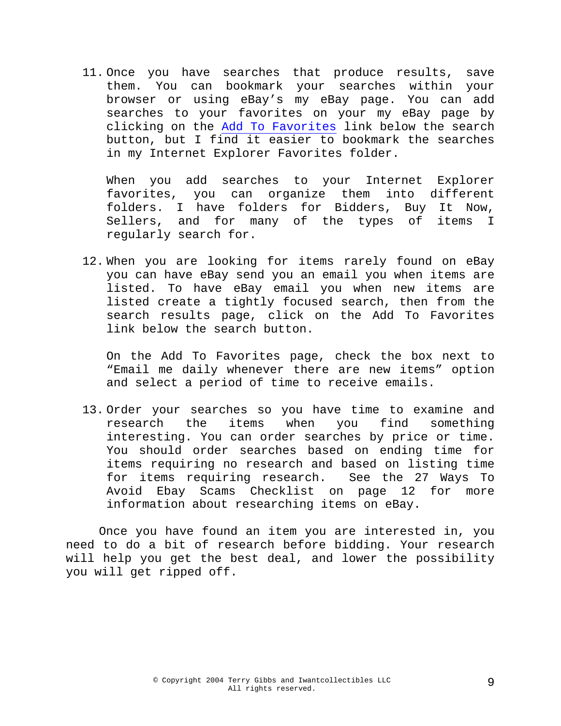11. Once you have searches that produce results, save them. You can bookmark your searches within your browser or using eBay's my eBay page. You can add searches to your favorites on your my eBay page by clicking on the Add To Favorites link below the search button, but I find it easier to bookmark the searches in my Internet Explorer Favorites folder.

When you add searches to your Internet Explorer favorites, you can organize them into different folders. I have folders for Bidders, Buy It Now, Sellers, and for many of the types of items I regularly search for.

12. When you are looking for items rarely found on eBay you can have eBay send you an email you when items are listed. To have eBay email you when new items are listed create a tightly focused search, then from the search results page, click on the Add To Favorites link below the search button.

On the Add To Favorites page, check the box next to "Email me daily whenever there are new items" option and select a period of time to receive emails.

13. Order your searches so you have time to examine and research the items when you find something interesting. You can order searches by price or time. You should order searches based on ending time for items requiring no research and based on listing time for items requiring research. See the 27 Ways To Avoid Ebay Scams Checklist on page 12 for more information about researching items on eBay.

Once you have found an item you are interested in, you need to do a bit of research before bidding. Your research will help you get the best deal, and lower the possibility you will get ripped off.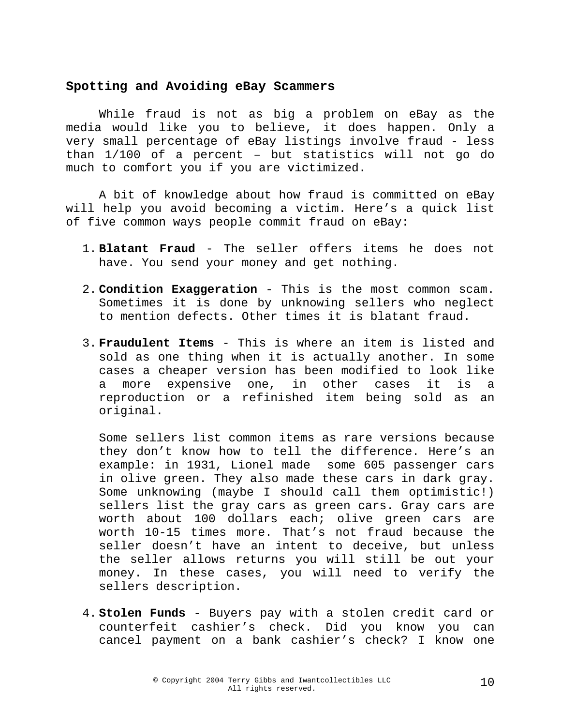### **Spotting and Avoiding eBay Scammers**

While fraud is not as big a problem on eBay as the media would like you to believe, it does happen. Only a very small percentage of eBay listings involve fraud - less than 1/100 of a percent – but statistics will not go do much to comfort you if you are victimized.

A bit of knowledge about how fraud is committed on eBay will help you avoid becoming a victim. Here's a quick list of five common ways people commit fraud on eBay:

- 1. **Blatant Fraud**  The seller offers items he does not have. You send your money and get nothing.
- 2. **Condition Exaggeration** This is the most common scam. Sometimes it is done by unknowing sellers who neglect to mention defects. Other times it is blatant fraud.
- 3. **Fraudulent Items** This is where an item is listed and sold as one thing when it is actually another. In some cases a cheaper version has been modified to look like a more expensive one, in other cases it is a reproduction or a refinished item being sold as an original.

Some sellers list common items as rare versions because they don't know how to tell the difference. Here's an example: in 1931, Lionel made some 605 passenger cars in olive green. They also made these cars in dark gray. Some unknowing (maybe I should call them optimistic!) sellers list the gray cars as green cars. Gray cars are worth about 100 dollars each; olive green cars are worth 10-15 times more. That's not fraud because the seller doesn't have an intent to deceive, but unless the seller allows returns you will still be out your money. In these cases, you will need to verify the sellers description.

4. **Stolen Funds** - Buyers pay with a stolen credit card or counterfeit cashier's check. Did you know you can cancel payment on a bank cashier's check? I know one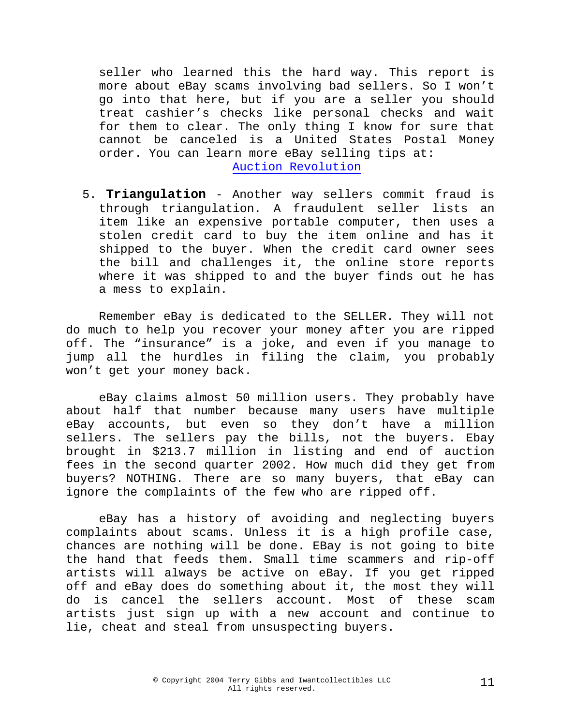seller who learned this the hard way. This report is more about eBay scams involving bad sellers. So I won't go into that here, but if you are a seller you should treat cashier's checks like personal checks and wait for them to clear. The only thing I know for sure that cannot be canceled is a United States Postal Money order. You can learn more eBay selling tips at: [Auction Revolution](http://www.auction-revolution.com/)

5. **Triangulation** - Another way sellers commit fraud is through triangulation. A fraudulent seller lists an item like an expensive portable computer, then uses a stolen credit card to buy the item online and has it shipped to the buyer. When the credit card owner sees the bill and challenges it, the online store reports where it was shipped to and the buyer finds out he has a mess to explain.

Remember eBay is dedicated to the SELLER. They will not do much to help you recover your money after you are ripped off. The "insurance" is a joke, and even if you manage to jump all the hurdles in filing the claim, you probably won't get your money back.

eBay claims almost 50 million users. They probably have about half that number because many users have multiple eBay accounts, but even so they don't have a million sellers. The sellers pay the bills, not the buyers. Ebay brought in \$213.7 million in listing and end of auction fees in the second quarter 2002. How much did they get from buyers? NOTHING. There are so many buyers, that eBay can ignore the complaints of the few who are ripped off.

eBay has a history of avoiding and neglecting buyers complaints about scams. Unless it is a high profile case, chances are nothing will be done. EBay is not going to bite the hand that feeds them. Small time scammers and rip-off artists will always be active on eBay. If you get ripped off and eBay does do something about it, the most they will do is cancel the sellers account. Most of these scam artists just sign up with a new account and continue to lie, cheat and steal from unsuspecting buyers.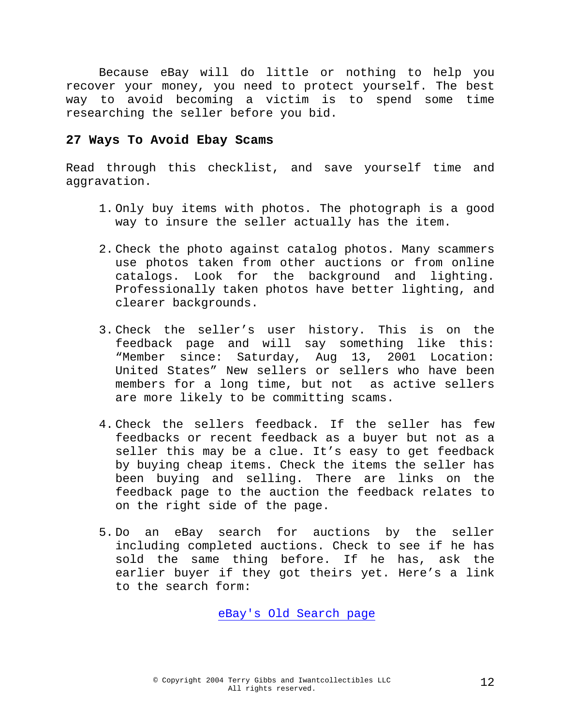Because eBay will do little or nothing to help you recover your money, you need to protect yourself. The best way to avoid becoming a victim is to spend some time researching the seller before you bid.

## **27 Ways To Avoid Ebay Scams**

Read through this checklist, and save yourself time and aggravation.

- 1. Only buy items with photos. The photograph is a good way to insure the seller actually has the item.
- 2. Check the photo against catalog photos. Many scammers use photos taken from other auctions or from online catalogs. Look for the background and lighting. Professionally taken photos have better lighting, and clearer backgrounds.
- 3. Check the seller's user history. This is on the feedback page and will say something like this: "Member since: Saturday, Aug 13, 2001 Location: United States" New sellers or sellers who have been members for a long time, but not as active sellers are more likely to be committing scams.
- 4. Check the sellers feedback. If the seller has few feedbacks or recent feedback as a buyer but not as a seller this may be a clue. It's easy to get feedback by buying cheap items. Check the items the seller has been buying and selling. There are links on the feedback page to the auction the feedback relates to on the right side of the page.
- 5. Do an eBay search for auctions by the seller including completed auctions. Check to see if he has sold the same thing before. If he has, ask the earlier buyer if they got theirs yet. Here's a link to the search form:

#### [eBay's Old Search page](http://www.qksrv.net/click-1183394-5463217?loc=http%3A//pages.ebay.com/search/items/search-old.html)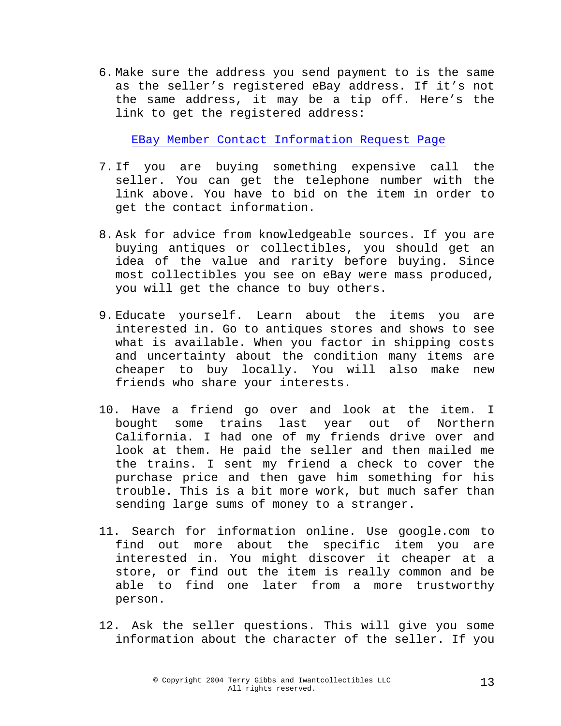6. Make sure the address you send payment to is the same as the seller's registered eBay address. If it's not the same address, it may be a tip off. Here's the link to get the registered address:

[EBay Member Contact Information Request Page](http://www.qksrv.net/click-1183394-5463217?loc=http%3A//cgi3.ebay.com/aw-cgi/eBayISAPI.dll%3FMemberSearchShow)

- 7. If you are buying something expensive call the seller. You can get the telephone number with the link above. You have to bid on the item in order to get the contact information.
- 8. Ask for advice from knowledgeable sources. If you are buying antiques or collectibles, you should get an idea of the value and rarity before buying. Since most collectibles you see on eBay were mass produced, you will get the chance to buy others.
- 9. Educate yourself. Learn about the items you are interested in. Go to antiques stores and shows to see what is available. When you factor in shipping costs and uncertainty about the condition many items are cheaper to buy locally. You will also make new friends who share your interests.
- 10. Have a friend go over and look at the item. I bought some trains last year out of Northern California. I had one of my friends drive over and look at them. He paid the seller and then mailed me the trains. I sent my friend a check to cover the purchase price and then gave him something for his trouble. This is a bit more work, but much safer than sending large sums of money to a stranger.
- 11. Search for information online. Use google.com to find out more about the specific item you are interested in. You might discover it cheaper at a store, or find out the item is really common and be able to find one later from a more trustworthy person.
- 12. Ask the seller questions. This will give you some information about the character of the seller. If you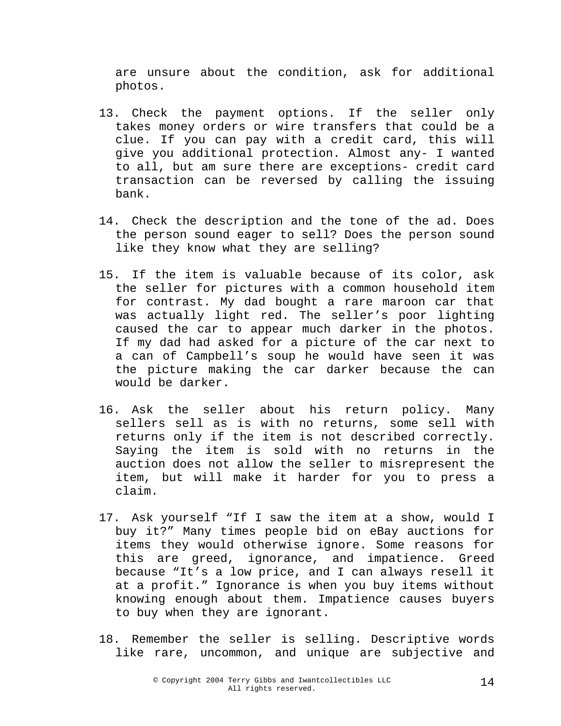are unsure about the condition, ask for additional photos.

- 13. Check the payment options. If the seller only takes money orders or wire transfers that could be a clue. If you can pay with a credit card, this will give you additional protection. Almost any- I wanted to all, but am sure there are exceptions- credit card transaction can be reversed by calling the issuing bank.
- 14. Check the description and the tone of the ad. Does the person sound eager to sell? Does the person sound like they know what they are selling?
- 15. If the item is valuable because of its color, ask the seller for pictures with a common household item for contrast. My dad bought a rare maroon car that was actually light red. The seller's poor lighting caused the car to appear much darker in the photos. If my dad had asked for a picture of the car next to a can of Campbell's soup he would have seen it was the picture making the car darker because the can would be darker.
- 16. Ask the seller about his return policy. Many sellers sell as is with no returns, some sell with returns only if the item is not described correctly. Saying the item is sold with no returns in the auction does not allow the seller to misrepresent the item, but will make it harder for you to press a claim.
- 17. Ask yourself "If I saw the item at a show, would I buy it?" Many times people bid on eBay auctions for items they would otherwise ignore. Some reasons for this are greed, ignorance, and impatience. Greed because "It's a low price, and I can always resell it at a profit." Ignorance is when you buy items without knowing enough about them. Impatience causes buyers to buy when they are ignorant.
- 18. Remember the seller is selling. Descriptive words like rare, uncommon, and unique are subjective and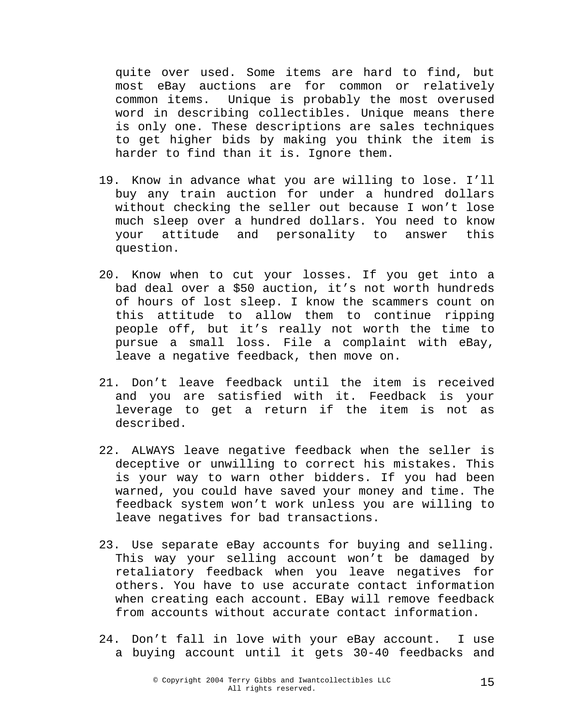quite over used. Some items are hard to find, but most eBay auctions are for common or relatively common items. Unique is probably the most overused word in describing collectibles. Unique means there is only one. These descriptions are sales techniques to get higher bids by making you think the item is harder to find than it is. Ignore them.

- 19. Know in advance what you are willing to lose. I'll buy any train auction for under a hundred dollars without checking the seller out because I won't lose much sleep over a hundred dollars. You need to know your attitude and personality to answer this question.
- 20. Know when to cut your losses. If you get into a bad deal over a \$50 auction, it's not worth hundreds of hours of lost sleep. I know the scammers count on this attitude to allow them to continue ripping people off, but it's really not worth the time to pursue a small loss. File a complaint with eBay, leave a negative feedback, then move on.
- 21. Don't leave feedback until the item is received and you are satisfied with it. Feedback is your leverage to get a return if the item is not as described.
- 22. ALWAYS leave negative feedback when the seller is deceptive or unwilling to correct his mistakes. This is your way to warn other bidders. If you had been warned, you could have saved your money and time. The feedback system won't work unless you are willing to leave negatives for bad transactions.
- 23. Use separate eBay accounts for buying and selling. This way your selling account won't be damaged by retaliatory feedback when you leave negatives for others. You have to use accurate contact information when creating each account. EBay will remove feedback from accounts without accurate contact information.
- 24. Don't fall in love with your eBay account. I use a buying account until it gets 30-40 feedbacks and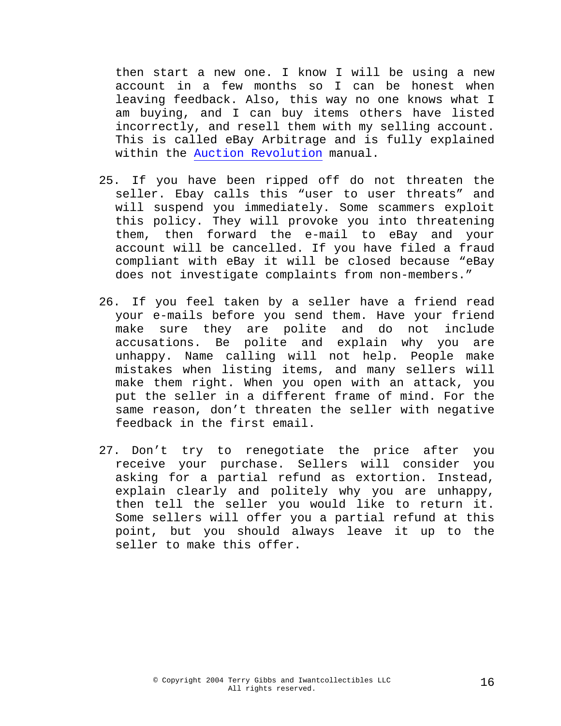then start a new one. I know I will be using a new account in a few months so I can be honest when leaving feedback. Also, this way no one knows what I am buying, and I can buy items others have listed incorrectly, and resell them with my selling account. This is called eBay Arbitrage and is fully explained within the [Auction Revolution](http://www.auction-revolution.com/) manual.

- 25. If you have been ripped off do not threaten the seller. Ebay calls this "user to user threats" and will suspend you immediately. Some scammers exploit this policy. They will provoke you into threatening them, then forward the e-mail to eBay and your account will be cancelled. If you have filed a fraud compliant with eBay it will be closed because "eBay does not investigate complaints from non-members."
- 26. If you feel taken by a seller have a friend read your e-mails before you send them. Have your friend make sure they are polite and do not include accusations. Be polite and explain why you are unhappy. Name calling will not help. People make mistakes when listing items, and many sellers will make them right. When you open with an attack, you put the seller in a different frame of mind. For the same reason, don't threaten the seller with negative feedback in the first email.
- 27. Don't try to renegotiate the price after you receive your purchase. Sellers will consider you asking for a partial refund as extortion. Instead, explain clearly and politely why you are unhappy, then tell the seller you would like to return it. Some sellers will offer you a partial refund at this point, but you should always leave it up to the seller to make this offer.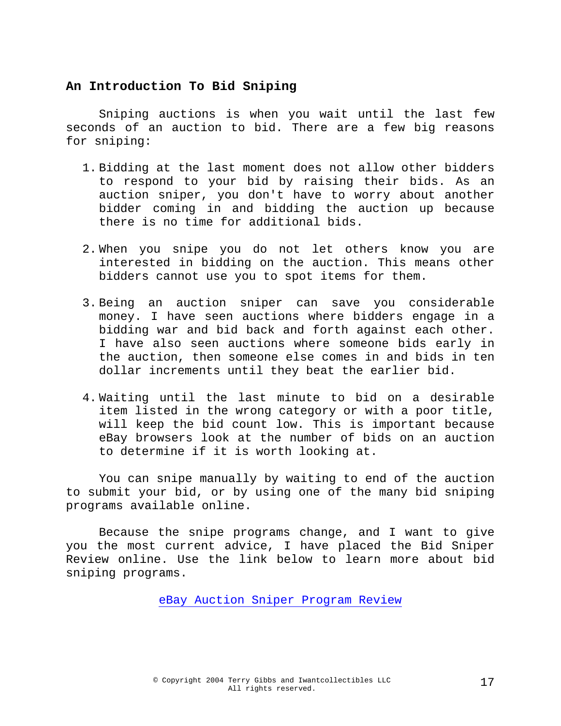## **An Introduction To Bid Sniping**

Sniping auctions is when you wait until the last few seconds of an auction to bid. There are a few big reasons for sniping:

- 1. Bidding at the last moment does not allow other bidders to respond to your bid by raising their bids. As an auction sniper, you don't have to worry about another bidder coming in and bidding the auction up because there is no time for additional bids.
- 2. When you snipe you do not let others know you are interested in bidding on the auction. This means other bidders cannot use you to spot items for them.
- 3. Being an auction sniper can save you considerable money. I have seen auctions where bidders engage in a bidding war and bid back and forth against each other. I have also seen auctions where someone bids early in the auction, then someone else comes in and bids in ten dollar increments until they beat the earlier bid.
- 4. Waiting until the last minute to bid on a desirable item listed in the wrong category or with a poor title, will keep the bid count low. This is important because eBay browsers look at the number of bids on an auction to determine if it is worth looking at.

You can snipe manually by waiting to end of the auction to submit your bid, or by using one of the many bid sniping programs available online.

Because the snipe programs change, and I want to give you the most current advice, I have placed the Bid Sniper Review online. Use the link below to learn more about bid sniping programs.

[eBay Auction Sniper Program Review](http://www.nalroo.com/news/ebay-sniper.shtml)